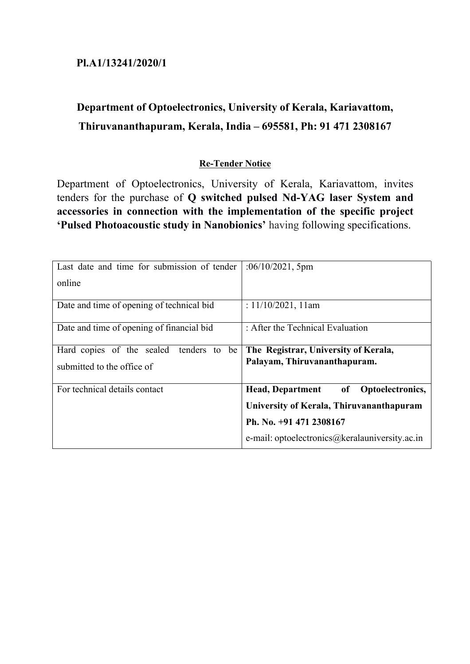# **Pl.A1/13241/2020/1**

# **Department of Optoelectronics, University of Kerala, Kariavattom, Thiruvananthapuram, Kerala, India – 695581, Ph: 91 471 2308167**

## **Re-Tender Notice**

Department of Optoelectronics, University of Kerala, Kariavattom, invites tenders for the purchase of **Q switched pulsed Nd-YAG laser System and accessories in connection with the implementation of the specific project 'Pulsed Photoacoustic study in Nanobionics'** having following specifications.

| Last date and time for submission of tender | :06/10/2021, 5pm                                  |  |
|---------------------------------------------|---------------------------------------------------|--|
| online                                      |                                                   |  |
| Date and time of opening of technical bid   | : $11/10/2021$ , 11am                             |  |
| Date and time of opening of financial bid   | : After the Technical Evaluation                  |  |
| Hard copies of the sealed<br>tenders to be  | The Registrar, University of Kerala,              |  |
| submitted to the office of                  | Palayam, Thiruvananthapuram.                      |  |
| For technical details contact               | <b>Head, Department</b><br>Optoelectronics,<br>of |  |
|                                             | University of Kerala, Thiruvananthapuram          |  |
|                                             | Ph. No. +91 471 2308167                           |  |
|                                             | e-mail: optoelectronics@keralauniversity.ac.in    |  |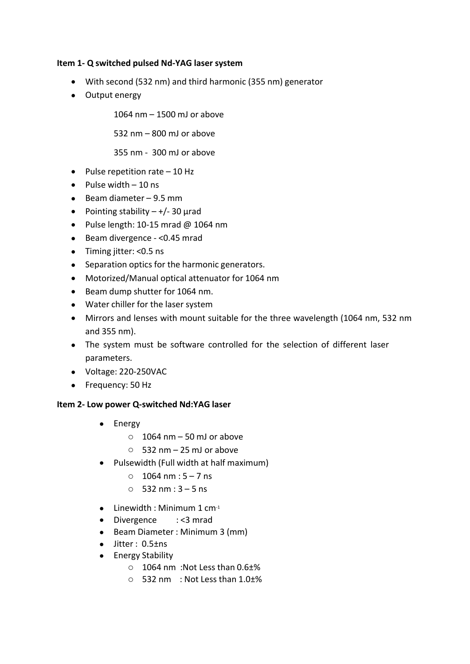### **Item 1- Q switched pulsed Nd-YAG laser system**

- With second (532 nm) and third harmonic (355 nm) generator
- Output energy

1064 nm – 1500 mJ or above

532 nm – 800 mJ or above

355 nm - 300 mJ or above

- $\bullet$  Pulse repetition rate  $-10$  Hz
- $\bullet$  Pulse width  $-10$  ns
- $\bullet$  Beam diameter 9.5 mm
- Pointing stability  $+/- 30$  µrad
- $\bullet$  Pulse length: 10-15 mrad @ 1064 nm
- Beam divergence <0.45 mrad
- Timing jitter: <0.5 ns
- Separation optics for the harmonic generators.
- Motorized/Manual optical attenuator for 1064 nm
- Beam dump shutter for 1064 nm.
- Water chiller for the laser system
- Mirrors and lenses with mount suitable for the three wavelength (1064 nm, 532 nm and 355 nm).
- The system must be software controlled for the selection of different laser parameters.
- Voltage: 220-250VAC
- Frequency: 50 Hz

#### **Item 2- Low power Q-switched Nd:YAG laser**

- Energy
	- $\circ$  1064 nm 50 mJ or above
	- $\circ$  532 nm 25 mJ or above
- Pulsewidth (Full width at half maximum)
	- $\circ$  1064 nm : 5 7 ns
	- $\circ$  532 nm : 3 5 ns
- $\bullet$  Linewidth : Minimum 1 cm<sup>-1</sup>
- Divergence : <3 mrad
- Beam Diameter : Minimum 3 (mm)
- $\bullet$  Jitter : 0.5 $\pm$ ns
- Energy Stability
	- o 1064 nm :Not Less than 0.6±%
	- o 532 nm : Not Less than 1.0±%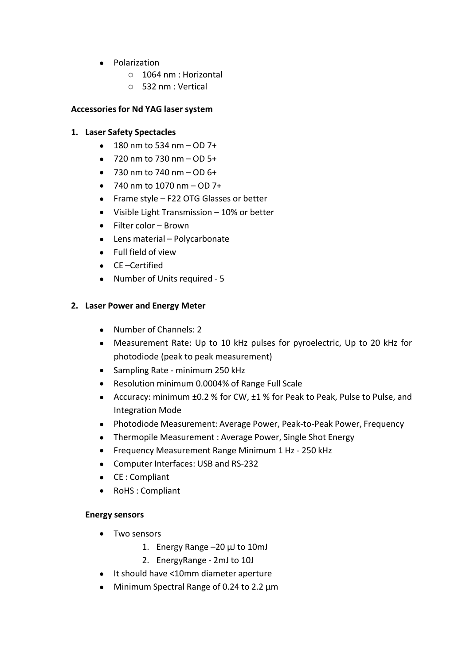- Polarization
	- o 1064 nm : Horizontal
	- o 532 nm : Vertical

#### **Accessories for Nd YAG laser system**

#### **1. Laser Safety Spectacles**

- $\bullet$  180 nm to 534 nm OD 7+
- $\bullet$  720 nm to 730 nm  $-$  OD 5+
- $\bullet$  730 nm to 740 nm OD 6+
- $\bullet$  740 nm to 1070 nm OD 7+
- Frame style F22 OTG Glasses or better
- Visible Light Transmission 10% or better
- Filter color Brown
- Lens material Polycarbonate
- Full field of view
- CE –Certified
- Number of Units required 5

#### **2. Laser Power and Energy Meter**

- Number of Channels: 2
- Measurement Rate: Up to 10 kHz pulses for pyroelectric, Up to 20 kHz for photodiode (peak to peak measurement)
- Sampling Rate minimum 250 kHz
- Resolution minimum 0.0004% of Range Full Scale
- Accuracy: minimum ±0.2 % for CW, ±1 % for Peak to Peak, Pulse to Pulse, and Integration Mode
- Photodiode Measurement: Average Power, Peak-to-Peak Power, Frequency
- Thermopile Measurement : Average Power, Single Shot Energy
- Frequency Measurement Range Minimum 1 Hz 250 kHz
- Computer Interfaces: USB and RS-232
- CE : Compliant
- RoHS :Compliant

#### **Energy sensors**

- Two sensors
	- 1. Energy Range –20 μJ to 10mJ
	- 2. EnergyRange 2mJ to 10J
- It should have <10mm diameter aperture
- Minimum Spectral Range of 0.24 to 2.2 µm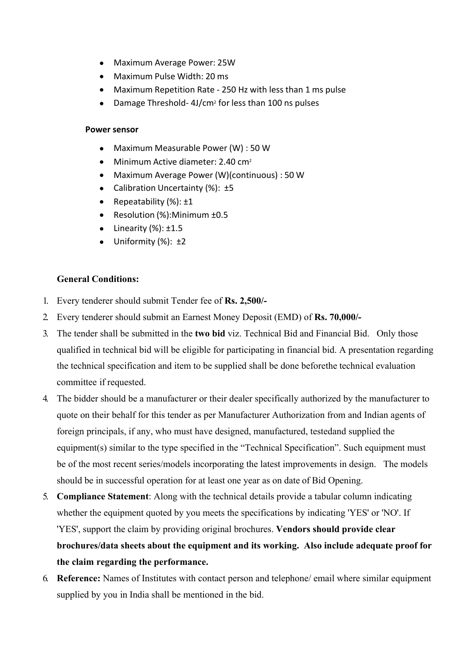- Maximum Average Power: 25W
- Maximum Pulse Width: 20 ms
- Maximum Repetition Rate 250 Hz with less than 1 ms pulse
- Damage Threshold- 4J/cm<sup>2</sup> for less than 100 ns pulses

#### **Power sensor**

- Maximum Measurable Power(W) :50 W
- $\bullet$  Minimum Active diameter: 2.40 cm<sup>2</sup>
- Maximum Average Power(W)(continuous) : 50 W
- Calibration Uncertainty (%): ±5
- Repeatability  $(\%)$ :  $\pm 1$
- Resolution (%):Minimum ±0.5
- $\bullet$  Linearity (%):  $\pm 1.5$
- $\bullet$  Uniformity (%):  $\pm 2$

## **General Conditions:**

- 1. Every tenderer should submit Tender fee of **Rs. 2,500/-**
- 2. Every tenderer should submit an Earnest Money Deposit (EMD) of **Rs. 70,000/-**
- 3. The tender shall be submitted in the **two bid** viz. Technical Bid and Financial Bid. Only those qualified in technical bid will be eligible for participating in financial bid. A presentation regarding the technical specification and item to be supplied shall be done beforethe technical evaluation committee if requested.
- 4. The bidder should be a manufacturer or their dealer specifically authorized by the manufacturer to quote on their behalf for this tender as per Manufacturer Authorization from and Indian agents of foreign principals, if any, who must have designed, manufactured, testedand supplied the equipment(s) similar to the type specified in the "Technical Specification". Such equipment must be of the most recent series/models incorporating the latest improvements in design. The models should be in successful operation for at least one year as on date of Bid Opening.
- 5. **Compliance Statement**: Along with the technical details provide a tabular column indicating whether the equipment quoted by you meets the specifications by indicating 'YES' or 'NO'. If 'YES', support the claim by providing original brochures. **Vendors should provide clear brochures/data sheets about the equipment and its working. Also include adequate proof for the claim regarding the performance.**
- 6. **Reference:** Names of Institutes with contact person and telephone/ email where similar equipment supplied by you in India shall be mentioned in the bid.